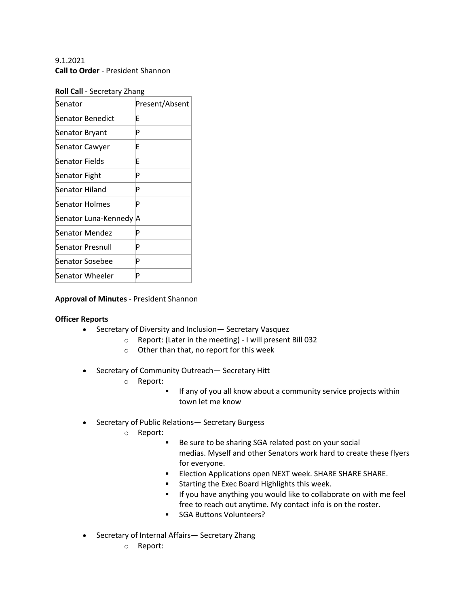9.1.2021 **Call to Order** - President Shannon

| Roll Call - Secretary Zhang |
|-----------------------------|
|-----------------------------|

| Senator                 | Present/Absent |
|-------------------------|----------------|
| Senator Benedict        | F              |
| Senator Bryant          | P              |
| Senator Cawyer          | F              |
| Senator Fields          | F              |
| Senator Fight           | P              |
| Senator Hiland          | P              |
| Senator Holmes          | P              |
| Senator Luna-Kennedy  A |                |
| Senator Mendez          | P              |
| Senator Presnull        | P              |
| Senator Sosebee         | P              |
| Senator Wheeler         | P              |

## **Approval of Minutes** - President Shannon

#### **Officer Reports**

- Secretary of Diversity and Inclusion— Secretary Vasquez
	- o Report: (Later in the meeting) I will present Bill 032
	- o Other than that, no report for this week
- Secretary of Community Outreach— Secretary Hitt
	- o Report:
		- **•** If any of you all know about a community service projects within town let me know
- Secretary of Public Relations— Secretary Burgess
	- o Report:
		- Be sure to be sharing SGA related post on your social medias. Myself and other Senators work hard to create these flyers for everyone.
		- Election Applications open NEXT week. SHARE SHARE SHARE.
		- **Starting the Exec Board Highlights this week.**
		- **EXT** If you have anything you would like to collaborate on with me feel free to reach out anytime. My contact info is on the roster.
		- SGA Buttons Volunteers?
- Secretary of Internal Affairs— Secretary Zhang
	- o Report: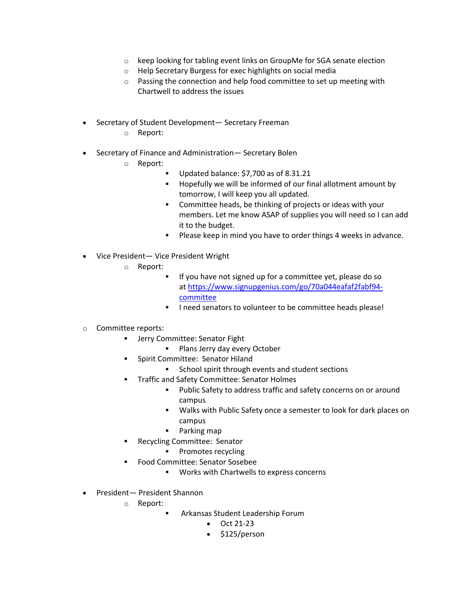- o keep looking for tabling event links on GroupMe for SGA senate election
- o Help Secretary Burgess for exec highlights on social media
- o Passing the connection and help food committee to set up meeting with Chartwell to address the issues
- Secretary of Student Development— Secretary Freeman
	- o Report:
- Secretary of Finance and Administration— Secretary Bolen
	- o Report:
		- § Updated balance: \$7,700 as of 8.31.21
		- § Hopefully we will be informed of our final allotment amount by tomorrow, I will keep you all updated.
		- Committee heads, be thinking of projects or ideas with your members. Let me know ASAP of supplies you will need so I can add it to the budget.
		- Please keep in mind you have to order things 4 weeks in advance.
- Vice President— Vice President Wright
	- o Report:
		- § If you have not signed up for a committee yet, please do so at https://www.signupgenius.com/go/70a044eafaf2fabf94 committee
		- I need senators to volunteer to be committee heads please!
- o Committee reports:
	- **■** Jerry Committee: Senator Fight
		- **•** Plans Jerry day every October
	- § Spirit Committee:  Senator Hiland
		- School spirit through events and student sections
	- § Traffic and Safety Committee: Senator Holmes
		- Public Safety to address traffic and safety concerns on or around campus
		- § Walks with Public Safety once a semester to look for dark places on campus
		- § Parking map
	- § Recycling Committee:  Senator
		- § Promotes recycling
	- § Food Committee: Senator Sosebee
		- § Works with Chartwells to express concerns
- President— President Shannon
	- o Report:
		- §  Arkansas Student Leadership Forum
			- Oct 21-23
			- \$125/person